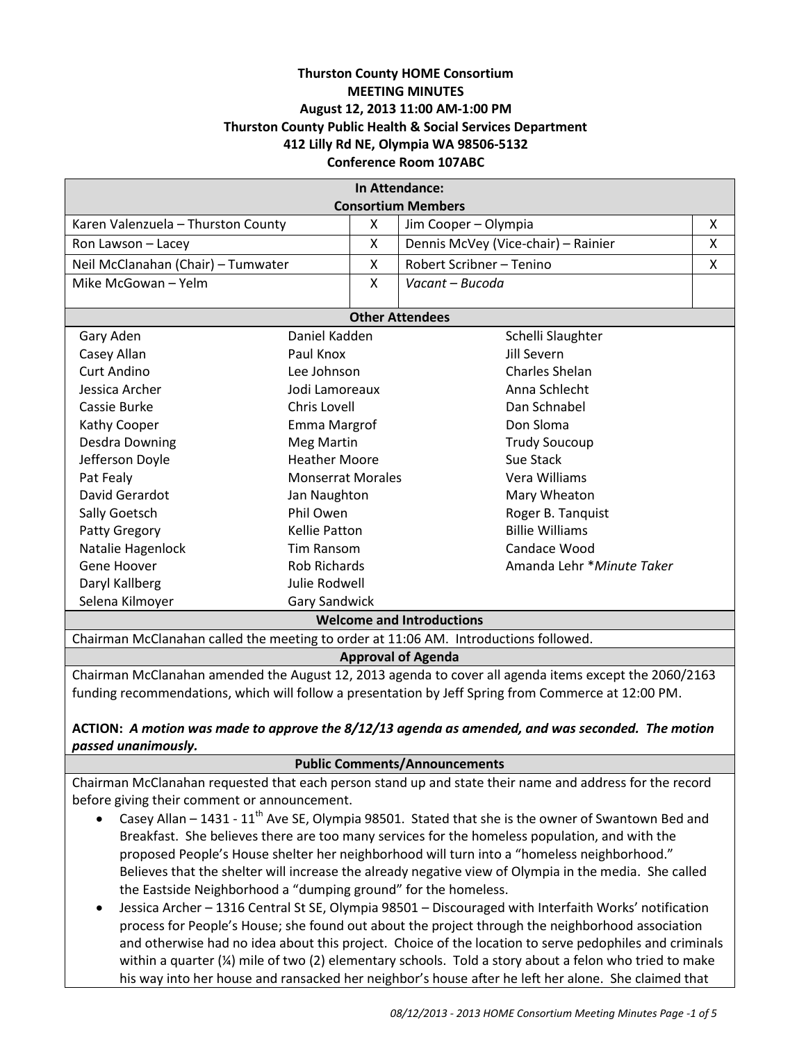# **Thurston County HOME Consortium MEETING MINUTES August 12, 2013 11:00 AM-1:00 PM Thurston County Public Health & Social Services Department 412 Lilly Rd NE, Olympia WA 98506-5132 Conference Room 107ABC**

| In Attendance:                                                                                        |                          |   |                                     |   |  |
|-------------------------------------------------------------------------------------------------------|--------------------------|---|-------------------------------------|---|--|
| <b>Consortium Members</b>                                                                             |                          |   |                                     |   |  |
| Karen Valenzuela - Thurston County                                                                    |                          | X | Jim Cooper - Olympia                | X |  |
| Ron Lawson - Lacey                                                                                    |                          | X | Dennis McVey (Vice-chair) - Rainier | X |  |
| Neil McClanahan (Chair) - Tumwater                                                                    |                          | X | Robert Scribner - Tenino            | X |  |
| Mike McGowan - Yelm                                                                                   |                          | X | Vacant - Bucoda                     |   |  |
| <b>Other Attendees</b>                                                                                |                          |   |                                     |   |  |
| Gary Aden                                                                                             | Daniel Kadden            |   | Schelli Slaughter                   |   |  |
| Casey Allan                                                                                           | Paul Knox                |   | Jill Severn                         |   |  |
| <b>Curt Andino</b>                                                                                    | Lee Johnson              |   | <b>Charles Shelan</b>               |   |  |
| Jessica Archer                                                                                        | Jodi Lamoreaux           |   | Anna Schlecht                       |   |  |
| Cassie Burke                                                                                          | Chris Lovell             |   | Dan Schnabel                        |   |  |
| Kathy Cooper                                                                                          | Emma Margrof             |   | Don Sloma                           |   |  |
| <b>Desdra Downing</b>                                                                                 | <b>Meg Martin</b>        |   | <b>Trudy Soucoup</b>                |   |  |
| Jefferson Doyle                                                                                       | <b>Heather Moore</b>     |   | Sue Stack                           |   |  |
| Pat Fealy                                                                                             | <b>Monserrat Morales</b> |   | Vera Williams                       |   |  |
| David Gerardot<br>Jan Naughton                                                                        |                          |   | Mary Wheaton                        |   |  |
| Sally Goetsch                                                                                         | Phil Owen                |   | Roger B. Tanquist                   |   |  |
| Patty Gregory                                                                                         | <b>Kellie Patton</b>     |   | <b>Billie Williams</b>              |   |  |
| Natalie Hagenlock                                                                                     | <b>Tim Ransom</b>        |   | Candace Wood                        |   |  |
| Gene Hoover                                                                                           | <b>Rob Richards</b>      |   | Amanda Lehr * Minute Taker          |   |  |
| Daryl Kallberg                                                                                        | Julie Rodwell            |   |                                     |   |  |
| Selena Kilmoyer                                                                                       | <b>Gary Sandwick</b>     |   |                                     |   |  |
| <b>Welcome and Introductions</b>                                                                      |                          |   |                                     |   |  |
| Chairman McClanahan called the meeting to order at 11:06 AM. Introductions followed.                  |                          |   |                                     |   |  |
| <b>Approval of Agenda</b>                                                                             |                          |   |                                     |   |  |
| Chairman McClanahan amended the August 12, 2013 agenda to cover all agenda items except the 2060/2163 |                          |   |                                     |   |  |
| funding recommendations, which will follow a presentation by Jeff Spring from Commerce at 12:00 PM.   |                          |   |                                     |   |  |

## **ACTION:** *A motion was made to approve the 8/12/13 agenda as amended, and was seconded. The motion passed unanimously.*

#### **Public Comments/Announcements**

Chairman McClanahan requested that each person stand up and state their name and address for the record before giving their comment or announcement.

- Casey Allan 1431 11<sup>th</sup> Ave SE, Olympia 98501. Stated that she is the owner of Swantown Bed and Breakfast. She believes there are too many services for the homeless population, and with the proposed People's House shelter her neighborhood will turn into a "homeless neighborhood." Believes that the shelter will increase the already negative view of Olympia in the media. She called the Eastside Neighborhood a "dumping ground" for the homeless.
- Jessica Archer 1316 Central St SE, Olympia 98501 Discouraged with Interfaith Works' notification process for People's House; she found out about the project through the neighborhood association and otherwise had no idea about this project. Choice of the location to serve pedophiles and criminals within a quarter (¼) mile of two (2) elementary schools. Told a story about a felon who tried to make his way into her house and ransacked her neighbor's house after he left her alone. She claimed that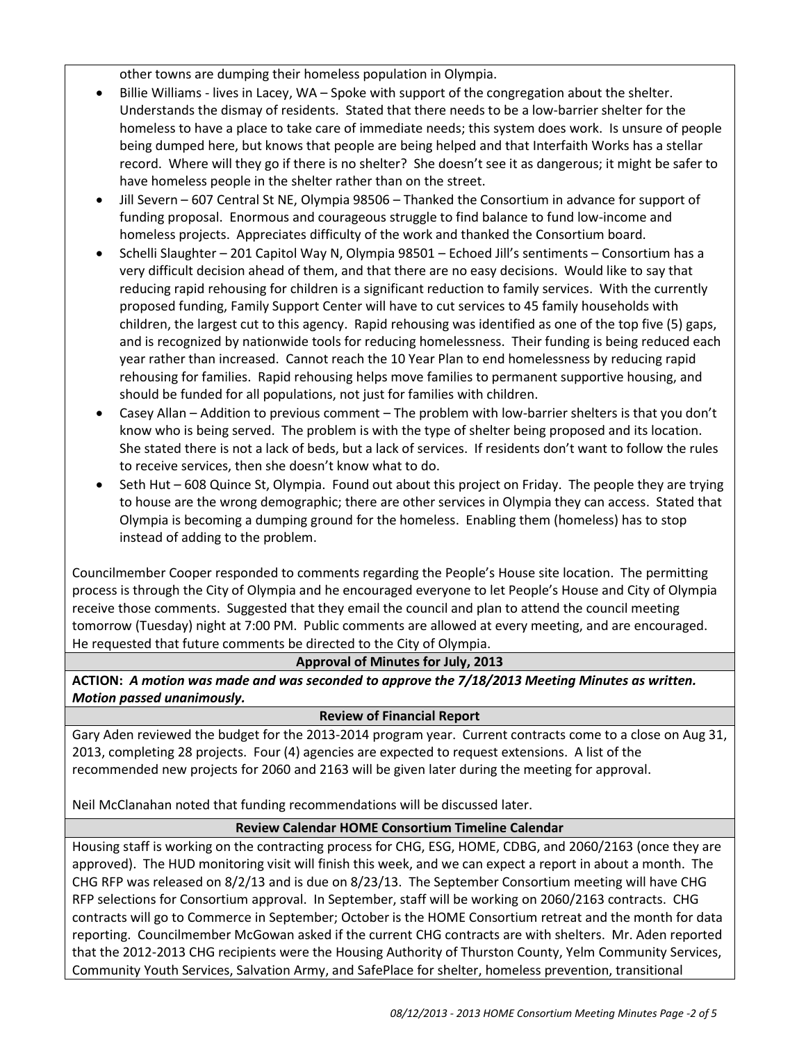other towns are dumping their homeless population in Olympia.

- Billie Williams lives in Lacey, WA Spoke with support of the congregation about the shelter. Understands the dismay of residents. Stated that there needs to be a low-barrier shelter for the homeless to have a place to take care of immediate needs; this system does work. Is unsure of people being dumped here, but knows that people are being helped and that Interfaith Works has a stellar record. Where will they go if there is no shelter? She doesn't see it as dangerous; it might be safer to have homeless people in the shelter rather than on the street.
- Jill Severn 607 Central St NE, Olympia 98506 Thanked the Consortium in advance for support of funding proposal. Enormous and courageous struggle to find balance to fund low-income and homeless projects. Appreciates difficulty of the work and thanked the Consortium board.
- Schelli Slaughter 201 Capitol Way N, Olympia 98501 Echoed Jill's sentiments Consortium has a very difficult decision ahead of them, and that there are no easy decisions. Would like to say that reducing rapid rehousing for children is a significant reduction to family services. With the currently proposed funding, Family Support Center will have to cut services to 45 family households with children, the largest cut to this agency. Rapid rehousing was identified as one of the top five (5) gaps, and is recognized by nationwide tools for reducing homelessness. Their funding is being reduced each year rather than increased. Cannot reach the 10 Year Plan to end homelessness by reducing rapid rehousing for families. Rapid rehousing helps move families to permanent supportive housing, and should be funded for all populations, not just for families with children.
- Casey Allan Addition to previous comment The problem with low-barrier shelters is that you don't know who is being served. The problem is with the type of shelter being proposed and its location. She stated there is not a lack of beds, but a lack of services. If residents don't want to follow the rules to receive services, then she doesn't know what to do.
- Seth Hut 608 Quince St, Olympia. Found out about this project on Friday. The people they are trying to house are the wrong demographic; there are other services in Olympia they can access. Stated that Olympia is becoming a dumping ground for the homeless. Enabling them (homeless) has to stop instead of adding to the problem.

Councilmember Cooper responded to comments regarding the People's House site location. The permitting process is through the City of Olympia and he encouraged everyone to let People's House and City of Olympia receive those comments. Suggested that they email the council and plan to attend the council meeting tomorrow (Tuesday) night at 7:00 PM. Public comments are allowed at every meeting, and are encouraged. He requested that future comments be directed to the City of Olympia.

### **Approval of Minutes for July, 2013**

**ACTION:** *A motion was made and was seconded to approve the 7/18/2013 Meeting Minutes as written. Motion passed unanimously.*

### **Review of Financial Report**

Gary Aden reviewed the budget for the 2013-2014 program year. Current contracts come to a close on Aug 31, 2013, completing 28 projects. Four (4) agencies are expected to request extensions. A list of the recommended new projects for 2060 and 2163 will be given later during the meeting for approval.

Neil McClanahan noted that funding recommendations will be discussed later.

# **Review Calendar HOME Consortium Timeline Calendar**

Housing staff is working on the contracting process for CHG, ESG, HOME, CDBG, and 2060/2163 (once they are approved). The HUD monitoring visit will finish this week, and we can expect a report in about a month. The CHG RFP was released on 8/2/13 and is due on 8/23/13. The September Consortium meeting will have CHG RFP selections for Consortium approval. In September, staff will be working on 2060/2163 contracts. CHG contracts will go to Commerce in September; October is the HOME Consortium retreat and the month for data reporting. Councilmember McGowan asked if the current CHG contracts are with shelters. Mr. Aden reported that the 2012-2013 CHG recipients were the Housing Authority of Thurston County, Yelm Community Services, Community Youth Services, Salvation Army, and SafePlace for shelter, homeless prevention, transitional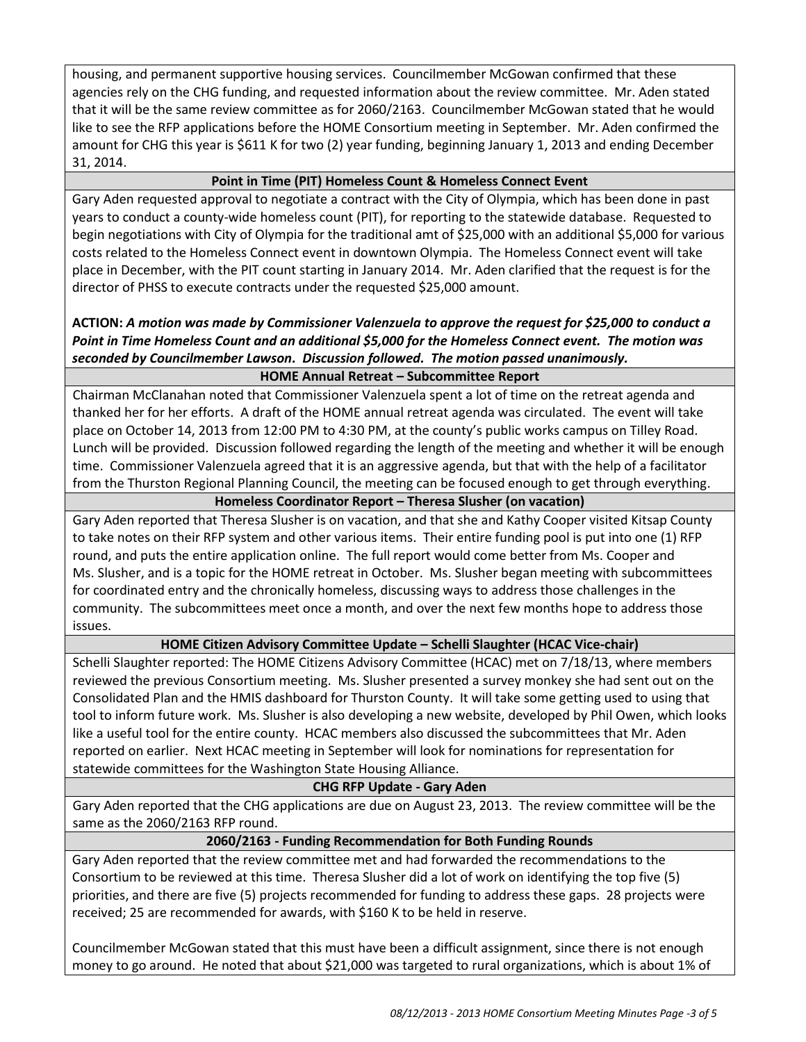housing, and permanent supportive housing services. Councilmember McGowan confirmed that these agencies rely on the CHG funding, and requested information about the review committee. Mr. Aden stated that it will be the same review committee as for 2060/2163. Councilmember McGowan stated that he would like to see the RFP applications before the HOME Consortium meeting in September. Mr. Aden confirmed the amount for CHG this year is \$611 K for two (2) year funding, beginning January 1, 2013 and ending December 31, 2014.

# **Point in Time (PIT) Homeless Count & Homeless Connect Event**

Gary Aden requested approval to negotiate a contract with the City of Olympia, which has been done in past years to conduct a county-wide homeless count (PIT), for reporting to the statewide database. Requested to begin negotiations with City of Olympia for the traditional amt of \$25,000 with an additional \$5,000 for various costs related to the Homeless Connect event in downtown Olympia. The Homeless Connect event will take place in December, with the PIT count starting in January 2014. Mr. Aden clarified that the request is for the director of PHSS to execute contracts under the requested \$25,000 amount.

# **ACTION:** *A motion was made by Commissioner Valenzuela to approve the request for \$25,000 to conduct a Point in Time Homeless Count and an additional \$5,000 for the Homeless Connect event. The motion was seconded by Councilmember Lawson. Discussion followed. The motion passed unanimously.* **HOME Annual Retreat – Subcommittee Report**

Chairman McClanahan noted that Commissioner Valenzuela spent a lot of time on the retreat agenda and thanked her for her efforts. A draft of the HOME annual retreat agenda was circulated. The event will take place on October 14, 2013 from 12:00 PM to 4:30 PM, at the county's public works campus on Tilley Road. Lunch will be provided. Discussion followed regarding the length of the meeting and whether it will be enough time. Commissioner Valenzuela agreed that it is an aggressive agenda, but that with the help of a facilitator from the Thurston Regional Planning Council, the meeting can be focused enough to get through everything.

# **Homeless Coordinator Report – Theresa Slusher (on vacation)**

Gary Aden reported that Theresa Slusher is on vacation, and that she and Kathy Cooper visited Kitsap County to take notes on their RFP system and other various items. Their entire funding pool is put into one (1) RFP round, and puts the entire application online. The full report would come better from Ms. Cooper and Ms. Slusher, and is a topic for the HOME retreat in October. Ms. Slusher began meeting with subcommittees for coordinated entry and the chronically homeless, discussing ways to address those challenges in the community. The subcommittees meet once a month, and over the next few months hope to address those issues.

# **HOME Citizen Advisory Committee Update – Schelli Slaughter (HCAC Vice-chair)**

Schelli Slaughter reported: The HOME Citizens Advisory Committee (HCAC) met on 7/18/13, where members reviewed the previous Consortium meeting. Ms. Slusher presented a survey monkey she had sent out on the Consolidated Plan and the HMIS dashboard for Thurston County. It will take some getting used to using that tool to inform future work. Ms. Slusher is also developing a new website, developed by Phil Owen, which looks like a useful tool for the entire county. HCAC members also discussed the subcommittees that Mr. Aden reported on earlier. Next HCAC meeting in September will look for nominations for representation for statewide committees for the Washington State Housing Alliance.

# **CHG RFP Update - Gary Aden**

Gary Aden reported that the CHG applications are due on August 23, 2013. The review committee will be the same as the 2060/2163 RFP round.

# **2060/2163 - Funding Recommendation for Both Funding Rounds**

Gary Aden reported that the review committee met and had forwarded the recommendations to the Consortium to be reviewed at this time. Theresa Slusher did a lot of work on identifying the top five (5) priorities, and there are five (5) projects recommended for funding to address these gaps. 28 projects were received; 25 are recommended for awards, with \$160 K to be held in reserve.

Councilmember McGowan stated that this must have been a difficult assignment, since there is not enough money to go around. He noted that about \$21,000 was targeted to rural organizations, which is about 1% of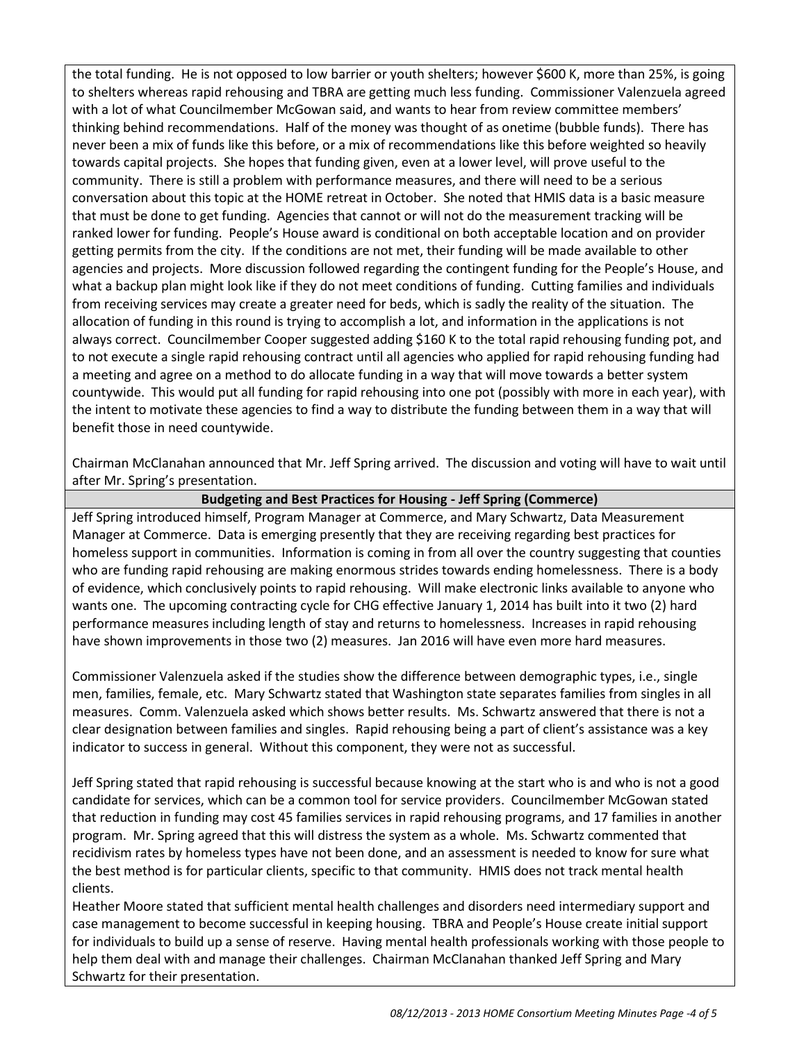the total funding. He is not opposed to low barrier or youth shelters; however \$600 K, more than 25%, is going to shelters whereas rapid rehousing and TBRA are getting much less funding. Commissioner Valenzuela agreed with a lot of what Councilmember McGowan said, and wants to hear from review committee members' thinking behind recommendations. Half of the money was thought of as onetime (bubble funds). There has never been a mix of funds like this before, or a mix of recommendations like this before weighted so heavily towards capital projects. She hopes that funding given, even at a lower level, will prove useful to the community. There is still a problem with performance measures, and there will need to be a serious conversation about this topic at the HOME retreat in October. She noted that HMIS data is a basic measure that must be done to get funding. Agencies that cannot or will not do the measurement tracking will be ranked lower for funding. People's House award is conditional on both acceptable location and on provider getting permits from the city. If the conditions are not met, their funding will be made available to other agencies and projects. More discussion followed regarding the contingent funding for the People's House, and what a backup plan might look like if they do not meet conditions of funding. Cutting families and individuals from receiving services may create a greater need for beds, which is sadly the reality of the situation. The allocation of funding in this round is trying to accomplish a lot, and information in the applications is not always correct. Councilmember Cooper suggested adding \$160 K to the total rapid rehousing funding pot, and to not execute a single rapid rehousing contract until all agencies who applied for rapid rehousing funding had a meeting and agree on a method to do allocate funding in a way that will move towards a better system countywide. This would put all funding for rapid rehousing into one pot (possibly with more in each year), with the intent to motivate these agencies to find a way to distribute the funding between them in a way that will benefit those in need countywide.

Chairman McClanahan announced that Mr. Jeff Spring arrived. The discussion and voting will have to wait until after Mr. Spring's presentation.

**Budgeting and Best Practices for Housing - Jeff Spring (Commerce)**

Jeff Spring introduced himself, Program Manager at Commerce, and Mary Schwartz, Data Measurement Manager at Commerce. Data is emerging presently that they are receiving regarding best practices for homeless support in communities. Information is coming in from all over the country suggesting that counties who are funding rapid rehousing are making enormous strides towards ending homelessness. There is a body of evidence, which conclusively points to rapid rehousing. Will make electronic links available to anyone who wants one. The upcoming contracting cycle for CHG effective January 1, 2014 has built into it two (2) hard performance measures including length of stay and returns to homelessness. Increases in rapid rehousing have shown improvements in those two (2) measures. Jan 2016 will have even more hard measures.

Commissioner Valenzuela asked if the studies show the difference between demographic types, i.e., single men, families, female, etc. Mary Schwartz stated that Washington state separates families from singles in all measures. Comm. Valenzuela asked which shows better results. Ms. Schwartz answered that there is not a clear designation between families and singles. Rapid rehousing being a part of client's assistance was a key indicator to success in general. Without this component, they were not as successful.

Jeff Spring stated that rapid rehousing is successful because knowing at the start who is and who is not a good candidate for services, which can be a common tool for service providers. Councilmember McGowan stated that reduction in funding may cost 45 families services in rapid rehousing programs, and 17 families in another program. Mr. Spring agreed that this will distress the system as a whole. Ms. Schwartz commented that recidivism rates by homeless types have not been done, and an assessment is needed to know for sure what the best method is for particular clients, specific to that community. HMIS does not track mental health clients.

Heather Moore stated that sufficient mental health challenges and disorders need intermediary support and case management to become successful in keeping housing. TBRA and People's House create initial support for individuals to build up a sense of reserve. Having mental health professionals working with those people to help them deal with and manage their challenges. Chairman McClanahan thanked Jeff Spring and Mary Schwartz for their presentation.